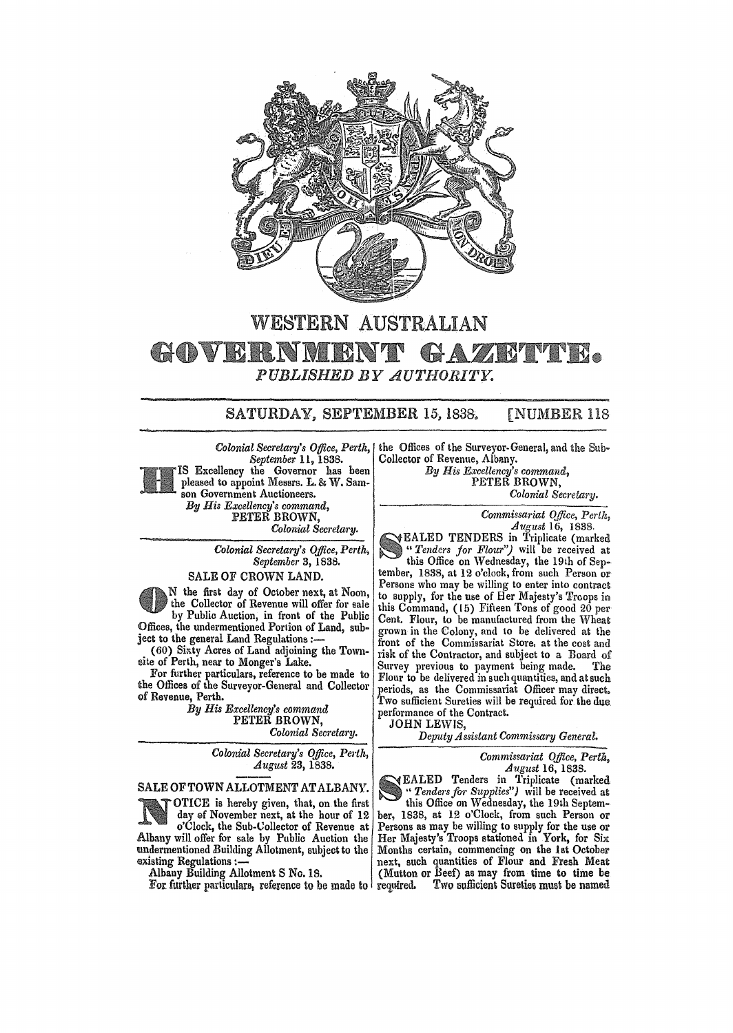

# WESTERN AUSTRALIAN • *PUBLISHED BY AUTHORITY.*

## SATURDAY, SEPTEMBER 15, 1838. [NUMBER 118

Colonial Secretary's Office, Perth, I *September* 11, 1838. IS Excellency the Governor has been pleased to appoint Messrs. L. & W. Samson Government Auctioneers. *By His Excellency's command,*  PETER BROWN,

Colonial Secretary.

*Colonial Secretary's Office, Pertk, September* 3, 1838.

## SALE OF CROWN LAND.

N the first day of October next, at Noon, the Collector of Revenue will offer for sale by Public Auction, in front of the Public Offices, the undermentioned Portion of Land, subject to the general Land Regulations :-

(60) Sixty Acres of Land adjoining the Towllsite of Perth, near to Monger's Lake.

For further particulars, reference to be made to the Offices of the Surveyor-General and Collector of Revenue, Perth.

*By His Excellency's command*  PETER BROWN, *Colonial Secretary.* 

> *Colonial Secretary's Office, Perth, August* 23, 1838.

### SALE OF TOWN ALLOTMENT AT ALBANY.

OTICE is hereby given, that, on the first day of November next, at the hour of 12 o'Clock, the Sub-Collector of Revenue at Albany will offer for sale by Public Auction the undermentioned Building Allotment, subject to the existing Regulations :-

Albany Building Allotment S No. IS.

For further particulars, reference to be made to

the Offices of the Surveyor-General, and the Sub· Collector of Revenue, Albany.

*By His E.'ccellency's command,*  PETER BROWN, *Colonial Secretm'y.* 

*Commissariat Ojfice, Perth, August* 16, 1838.

EALED TENDERS in Triplicate (marked *"Tenders jor Flour")* wilt be received at this Office on Wednesday, the 19th of September, 1838, at 12 o'clock, from such Person or Persons who may be willing to enter into contract to supply, for the use of Her Majesty's Troops in this Command, (15) Fifteen Tons of good 20 per Cent. Flour, to be manufactured from the Wheat grown in the Colony, and to be delivered at the front of the Commissariat Store. at the cost and risk of the Contractor, and subject to a Board of Survey previous to payment being made. The Flour to be delivered in such quantities, and at such periods, as the Commissariat Officer may direct. Two sufficient Sureties will be required for the due performance of the Contract.

JOHN LEWIS,

*Deputy Assistant Commissary General.* 

*Commissariat Office, Perth, August* 16, 1838.

EALED Tenders in Triplicate (marked .. *Tenders for Supplies")* will be received at this Office on Wednesday, the 19th September, 1838, at 12 o'Clock, from such Person or Persons as may be willing to supply for the use or Her Majesty's Troops stationed in York, for Six Months certain, commencing on the 1st October next, such quantities of Flour and Fresh Meat (Mutton or Beef) as may from time to time be required. Two sufficient Sureties must be named